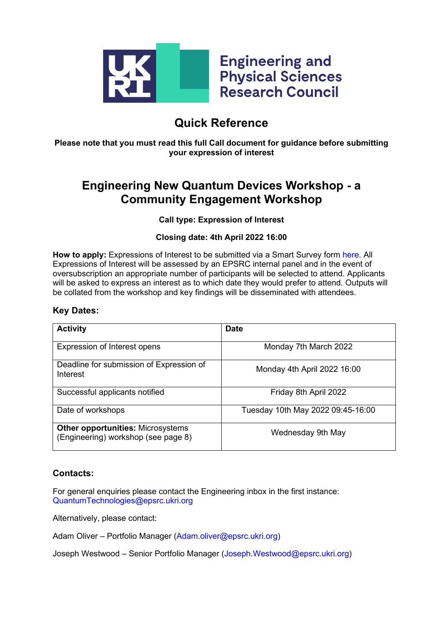

# **Quick Reference**

**Please note that you must read this full Call document for guidance before submitting your expression of interest**

## **Engineering New Quantum Devices Workshop - a Community Engagement Workshop**

### **Call type: Expression of Interest**

### **Closing date: 4th April 2022 16:00**

**How to apply:** Expressions of Interest to be submitted via a Smart Survey form [here.](https://www.smartsurvey.co.uk/s/QuantumTech/) All Expressions of Interest will be assessed by an EPSRC internal panel and in the event of oversubscription an appropriate number of participants will be selected to attend. Applicants will be asked to express an interest as to which date they would prefer to attend. Outputs will be collated from the workshop and key findings will be disseminated with attendees.

### **Key Dates:**

| <b>Activity</b>                                                                 | <b>Date</b>                       |
|---------------------------------------------------------------------------------|-----------------------------------|
| <b>Expression of Interest opens</b>                                             | Monday 7th March 2022             |
| Deadline for submission of Expression of<br>Interest                            | Monday 4th April 2022 16:00       |
| Successful applicants notified                                                  | Friday 8th April 2022             |
| Date of workshops                                                               | Tuesday 10th May 2022 09:45-16:00 |
| <b>Other opportunities: Microsystems</b><br>(Engineering) workshop (see page 8) | Wednesday 9th May                 |

## **Contacts:**

For general enquiries please contact the Engineering inbox in the first instance: [QuantumTechnologies@epsrc.ukri.org](mailto:QuantumTechnologies@epsrc.ukri.org)

Alternatively, please contact:

Adam Oliver – Portfolio Manager [\(Adam.oliver@epsrc.ukri.org\)](mailto:Adam.oliver@epsrc.ukri.org)

Joseph Westwood – Senior Portfolio Manager [\(Joseph.Westwood@epsrc.ukri.org\)](mailto:Joseph.Westwood@epsrc.ukri.org)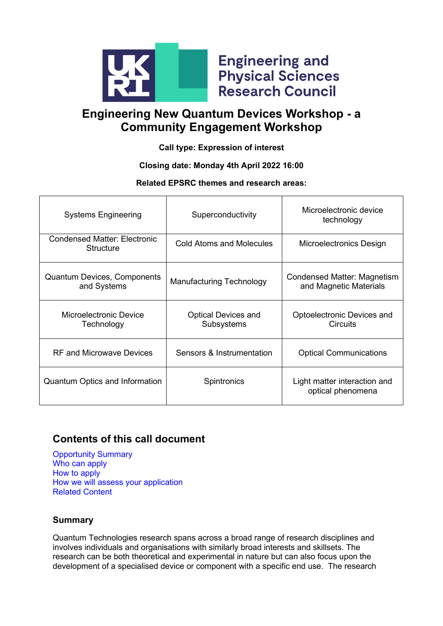

**Engineering and Physical Sciences Research Council** 

# **Engineering New Quantum Devices Workshop - a Community Engagement Workshop**

**Call type: Expression of interest**

## **Closing date: Monday 4th April 2022 16:00**

## **Related EPSRC themes and research areas:**

| <b>Systems Engineering</b>                        | Superconductivity                        | Microelectronic device<br>technology                  |
|---------------------------------------------------|------------------------------------------|-------------------------------------------------------|
| Condensed Matter: Electronic<br>Structure         | <b>Cold Atoms and Molecules</b>          | Microelectronics Design                               |
| <b>Quantum Devices, Components</b><br>and Systems | <b>Manufacturing Technology</b>          | Condensed Matter: Magnetism<br>and Magnetic Materials |
| Microelectronic Device<br>Technology              | <b>Optical Devices and</b><br>Subsystems | Optoelectronic Devices and<br><b>Circuits</b>         |
| RF and Microwave Devices                          | Sensors & Instrumentation                | <b>Optical Communications</b>                         |
| <b>Quantum Optics and Information</b>             | <b>Spintronics</b>                       | Light matter interaction and<br>optical phenomena     |

## **Contents of this call document**

[Opportunity Summary](#page-1-0) [Who can apply](#page-1-0) [How to apply](#page-4-0) How we will assess your application [Related Content](#page-6-0)

## <span id="page-1-0"></span>**Summary**

Quantum Technologies research spans across a broad range of research disciplines and involves individuals and organisations with similarly broad interests and skillsets. The research can be both theoretical and experimental in nature but can also focus upon the development of a specialised device or component with a specific end use. The research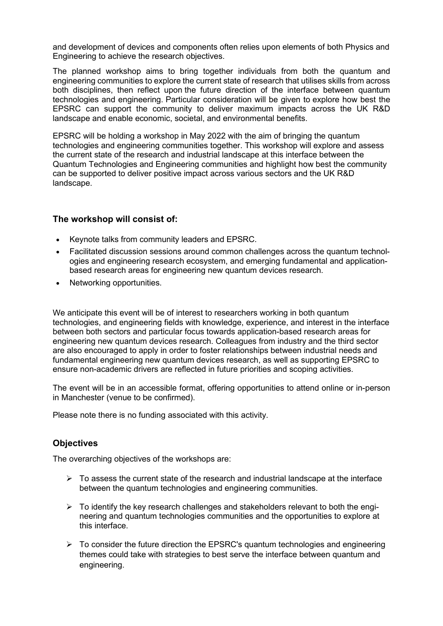and development of devices and components often relies upon elements of both Physics and Engineering to achieve the research objectives.

The planned workshop aims to bring together individuals from both the quantum and engineering communities to explore the current state of research that utilises skills from across both disciplines, then reflect upon the future direction of the interface between quantum technologies and engineering. Particular consideration will be given to explore how best the EPSRC can support the community to deliver maximum impacts across the UK R&D landscape and enable economic, societal, and environmental benefits.

EPSRC will be holding a workshop in May 2022 with the aim of bringing the quantum technologies and engineering communities together. This workshop will explore and assess the current state of the research and industrial landscape at this interface between the Quantum Technologies and Engineering communities and highlight how best the community can be supported to deliver positive impact across various sectors and the UK R&D landscape.

## **The workshop will consist of:**

- Keynote talks from community leaders and EPSRC.
- Facilitated discussion sessions around common challenges across the quantum technologies and engineering research ecosystem, and emerging fundamental and applicationbased research areas for engineering new quantum devices research.
- Networking opportunities.

We anticipate this event will be of interest to researchers working in both quantum technologies, and engineering fields with knowledge, experience, and interest in the interface between both sectors and particular focus towards application-based research areas for engineering new quantum devices research. Colleagues from industry and the third sector are also encouraged to apply in order to foster relationships between industrial needs and fundamental engineering new quantum devices research, as well as supporting EPSRC to ensure non-academic drivers are reflected in future priorities and scoping activities.

The event will be in an accessible format, offering opportunities to attend online or in-person in Manchester (venue to be confirmed).

Please note there is no funding associated with this activity.

## **Objectives**

The overarching objectives of the workshops are:

- $\triangleright$  To assess the current state of the research and industrial landscape at the interface between the quantum technologies and engineering communities.
- $\triangleright$  To identify the key research challenges and stakeholders relevant to both the engineering and quantum technologies communities and the opportunities to explore at this interface.
- $\triangleright$  To consider the future direction the EPSRC's quantum technologies and engineering themes could take with strategies to best serve the interface between quantum and engineering.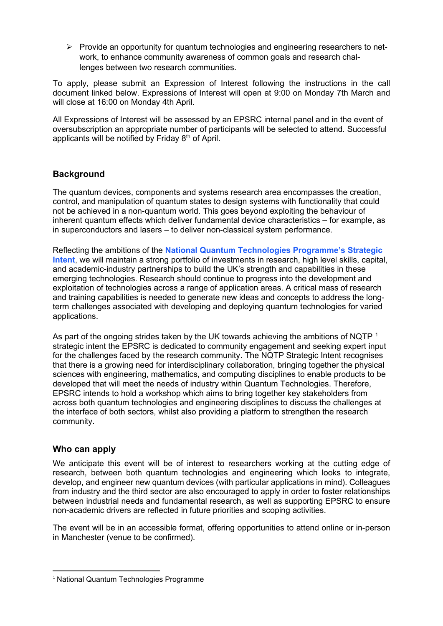$\triangleright$  Provide an opportunity for quantum technologies and engineering researchers to network, to enhance community awareness of common goals and research challenges between two research communities.

To apply, please submit an Expression of Interest following the instructions in the call document linked below. Expressions of Interest will open at 9:00 on Monday 7th March and will close at 16:00 on Monday 4th April.

All Expressions of Interest will be assessed by an EPSRC internal panel and in the event of oversubscription an appropriate number of participants will be selected to attend. Successful applicants will be notified by Friday 8<sup>th</sup> of April.

## **Background**

The quantum devices, components and systems research area encompasses the creation, control, and manipulation of quantum states to design systems with functionality that could not be achieved in a non-quantum world. This goes beyond exploiting the behaviour of inherent quantum effects which deliver fundamental device characteristics – for example, as in superconductors and lasers – to deliver non-classical system performance.

Reflecting the ambitions of the **[National Quantum Technologies Programme's Strategic](https://uknqt.ukri.org/files/strategicintent2020/)  [Intent](https://uknqt.ukri.org/files/strategicintent2020/)**, we will maintain a strong portfolio of investments in research, high level skills, capital, and academic-industry partnerships to build the UK's strength and capabilities in these emerging technologies. Research should continue to progress into the development and exploitation of technologies across a range of application areas. A critical mass of research and training capabilities is needed to generate new ideas and concepts to address the longterm challenges associated with developing and deploying quantum technologies for varied applications.

As part of the ongoing strides taken by the UK towards achieving the ambitions of NQTP<sup>[1](#page-3-0)</sup> strategic intent the EPSRC is dedicated to community engagement and seeking expert input for the challenges faced by the research community. The NQTP Strategic Intent recognises that there is a growing need for interdisciplinary collaboration, bringing together the physical sciences with engineering, mathematics, and computing disciplines to enable products to be developed that will meet the needs of industry within Quantum Technologies. Therefore, EPSRC intends to hold a workshop which aims to bring together key stakeholders from across both quantum technologies and engineering disciplines to discuss the challenges at the interface of both sectors, whilst also providing a platform to strengthen the research community.

## **Who can apply**

We anticipate this event will be of interest to researchers working at the cutting edge of research, between both quantum technologies and engineering which looks to integrate, develop, and engineer new quantum devices (with particular applications in mind). Colleagues from industry and the third sector are also encouraged to apply in order to foster relationships between industrial needs and fundamental research, as well as supporting EPSRC to ensure non-academic drivers are reflected in future priorities and scoping activities.

The event will be in an accessible format, offering opportunities to attend online or in-person in Manchester (venue to be confirmed).

<span id="page-3-0"></span><sup>&</sup>lt;sup>1</sup> National Quantum Technologies Programme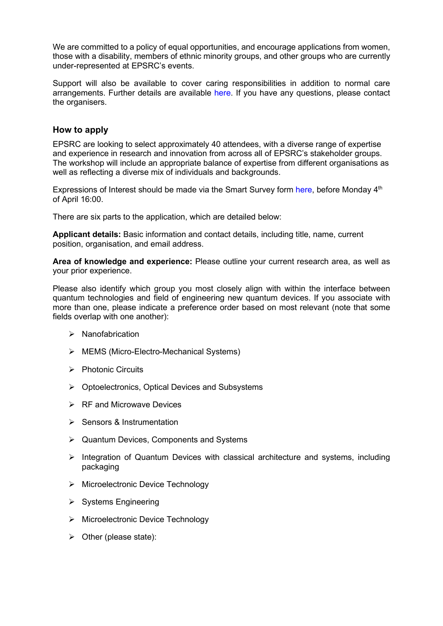We are committed to a policy of equal opportunities, and encourage applications from women, those with a disability, members of ethnic minority groups, and other groups who are currently under-represented at EPSRC's events.

Support will also be available to cover caring responsibilities in addition to normal care arrangements. Further details are available [here.](https://epsrc.ukri.org/funding/applicationprocess/basics/caringresponsibilities/) If you have any questions, please contact the organisers.

### <span id="page-4-0"></span>**How to apply**

EPSRC are looking to select approximately 40 attendees, with a diverse range of expertise and experience in research and innovation from across all of EPSRC's stakeholder groups. The workshop will include an appropriate balance of expertise from different organisations as well as reflecting a diverse mix of individuals and backgrounds.

Expressions of Interest should be made via the Smart Survey form [here,](https://www.smartsurvey.co.uk/s/QuantumTech/) before Monday  $4<sup>th</sup>$ of April 16:00.

There are six parts to the application, which are detailed below:

**Applicant details:** Basic information and contact details, including title, name, current position, organisation, and email address.

**Area of knowledge and experience:** Please outline your current research area, as well as your prior experience.

Please also identify which group you most closely align with within the interface between quantum technologies and field of engineering new quantum devices. If you associate with more than one, please indicate a preference order based on most relevant (note that some fields overlap with one another):

- $\triangleright$  Nanofabrication
- MEMS (Micro-Electro-Mechanical Systems)
- $\triangleright$  Photonic Circuits
- $\triangleright$  Optoelectronics, Optical Devices and Subsystems
- $\triangleright$  RF and Microwave Devices
- Sensors & Instrumentation
- $\triangleright$  Quantum Devices, Components and Systems
- $\triangleright$  Integration of Quantum Devices with classical architecture and systems, including packaging
- ▶ Microelectronic Device Technology
- $\triangleright$  Systems Engineering
- ▶ Microelectronic Device Technology
- $\triangleright$  Other (please state):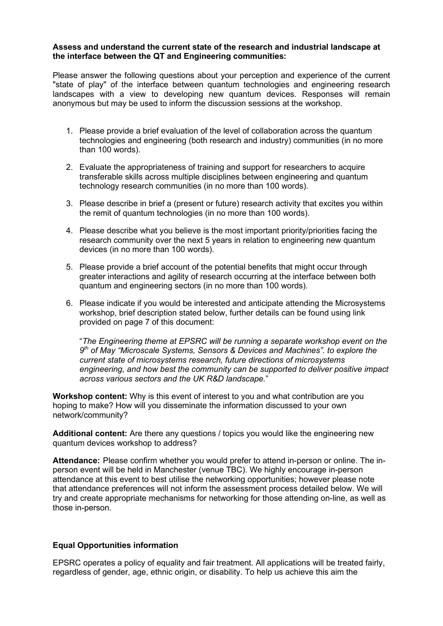#### **Assess and understand the current state of the research and industrial landscape at the interface between the QT and Engineering communities:**

Please answer the following questions about your perception and experience of the current "state of play" of the interface between quantum technologies and engineering research landscapes with a view to developing new quantum devices. Responses will remain anonymous but may be used to inform the discussion sessions at the workshop.

- 1. Please provide a brief evaluation of the level of collaboration across the quantum technologies and engineering (both research and industry) communities (in no more than 100 words).
- 2. Evaluate the appropriateness of training and support for researchers to acquire transferable skills across multiple disciplines between engineering and quantum technology research communities (in no more than 100 words).
- 3. Please describe in brief a (present or future) research activity that excites you within the remit of quantum technologies (in no more than 100 words).
- 4. Please describe what you believe is the most important priority/priorities facing the research community over the next 5 years in relation to engineering new quantum devices (in no more than 100 words).
- 5. Please provide a brief account of the potential benefits that might occur through greater interactions and agility of research occurring at the interface between both quantum and engineering sectors (in no more than 100 words).
- 6. Please indicate if you would be interested and anticipate attending the Microsystems workshop, brief description stated below, further details can be found using link provided on page 7 of this document:

"*The Engineering theme at EPSRC will be running a separate workshop event on the 9th of May "Microscale Systems, Sensors & Devices and Machines". to explore the current state of microsystems research, future directions of microsystems engineering, and how best the community can be supported to deliver positive impact across various sectors and the UK R&D landscape.*"

**Workshop content:** Why is this event of interest to you and what contribution are you hoping to make? How will you disseminate the information discussed to your own network/community?

**Additional content:** Are there any questions / topics you would like the engineering new quantum devices workshop to address?

**Attendance:** Please confirm whether you would prefer to attend in-person or online. The inperson event will be held in Manchester (venue TBC). We highly encourage in-person attendance at this event to best utilise the networking opportunities; however please note that attendance preferences will not inform the assessment process detailed below. We will try and create appropriate mechanisms for networking for those attending on-line, as well as those in-person.

#### **Equal Opportunities information**

EPSRC operates a policy of equality and fair treatment. All applications will be treated fairly, regardless of gender, age, ethnic origin, or disability. To help us achieve this aim the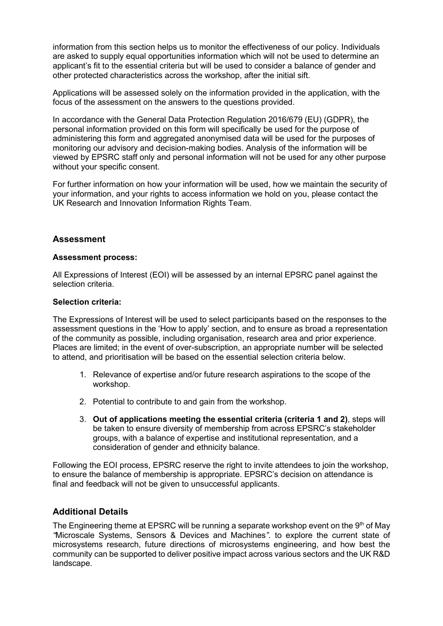information from this section helps us to monitor the effectiveness of our policy. Individuals are asked to supply equal opportunities information which will not be used to determine an applicant's fit to the essential criteria but will be used to consider a balance of gender and other protected characteristics across the workshop, after the initial sift.

Applications will be assessed solely on the information provided in the application, with the focus of the assessment on the answers to the questions provided.

In accordance with the General Data Protection Regulation 2016/679 (EU) (GDPR), the personal information provided on this form will specifically be used for the purpose of administering this form and aggregated anonymised data will be used for the purposes of monitoring our advisory and decision-making bodies. Analysis of the information will be viewed by EPSRC staff only and personal information will not be used for any other purpose without your specific consent.

For further information on how your information will be used, how we maintain the security of your information, and your rights to access information we hold on you, please contact the UK Research and Innovation Information Rights Team.

### **Assessment**

#### **Assessment process:**

All Expressions of Interest (EOI) will be assessed by an internal EPSRC panel against the selection criteria.

#### **Selection criteria:**

The Expressions of Interest will be used to select participants based on the responses to the assessment questions in the 'How to apply' section, and to ensure as broad a representation of the community as possible, including organisation, research area and prior experience. Places are limited; in the event of over-subscription, an appropriate number will be selected to attend, and prioritisation will be based on the essential selection criteria below.

- 1. Relevance of expertise and/or future research aspirations to the scope of the workshop.
- 2. Potential to contribute to and gain from the workshop.
- 3. **Out of applications meeting the essential criteria (criteria 1 and 2)**, steps will be taken to ensure diversity of membership from across EPSRC's stakeholder groups, with a balance of expertise and institutional representation, and a consideration of gender and ethnicity balance.

Following the EOI process, EPSRC reserve the right to invite attendees to join the workshop, to ensure the balance of membership is appropriate. EPSRC's decision on attendance is final and feedback will not be given to unsuccessful applicants.

#### <span id="page-6-0"></span>**Additional Details**

The Engineering theme at EPSRC will be running a separate workshop event on the  $9<sup>th</sup>$  of May *"*Microscale Systems, Sensors & Devices and Machines*"*. to explore the current state of microsystems research, future directions of microsystems engineering, and how best the community can be supported to deliver positive impact across various sectors and the UK R&D landscape.